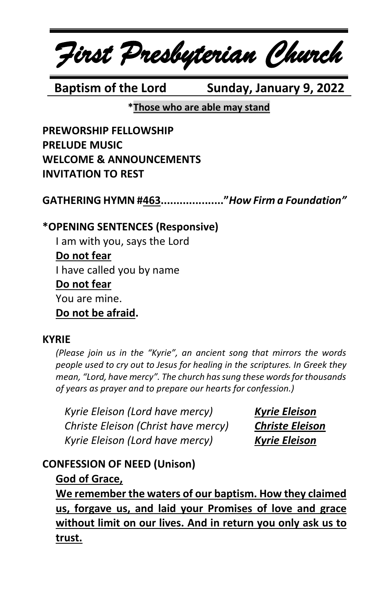*First Presbyterian Church*

**Baptism of the Lord Sunday, January 9, 2022** 

**\*Those who are able may stand**

**PREWORSHIP FELLOWSHIP PRELUDE MUSIC WELCOME & ANNOUNCEMENTS INVITATION TO REST**

**GATHERING HYMN #463...................."***How Firm a Foundation"*

### **\*OPENING SENTENCES (Responsive)**

I am with you, says the Lord **Do not fear** I have called you by name **Do not fear** You are mine. **Do not be afraid.**

#### **KYRIE**

*(Please join us in the "Kyrie", an ancient song that mirrors the words people used to cry out to Jesus for healing in the scriptures. In Greek they mean, "Lord, have mercy". The church has sung these words for thousands of years as prayer and to prepare our hearts for confession.)*

*Kyrie Eleison (Lord have mercy) Kyrie Eleison Christe Eleison (Christ have mercy) Christe Eleison Kyrie Eleison (Lord have mercy) Kyrie Eleison*

# **CONFESSION OF NEED (Unison)**

# **God of Grace,**

**We remember the waters of our baptism. How they claimed us, forgave us, and laid your Promises of love and grace without limit on our lives. And in return you only ask us to trust.**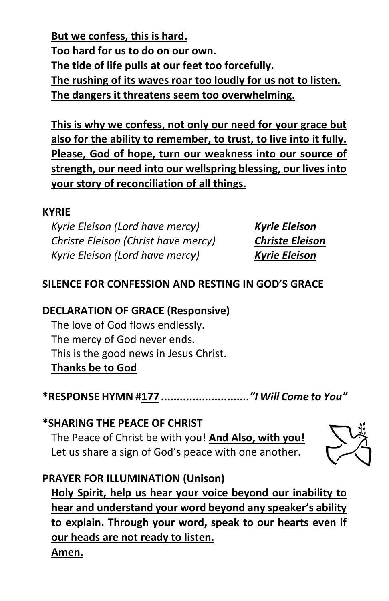**But we confess, this is hard. Too hard for us to do on our own. The tide of life pulls at our feet too forcefully. The rushing of its waves roar too loudly for us not to listen. The dangers it threatens seem too overwhelming.**

**This is why we confess, not only our need for your grace but also for the ability to remember, to trust, to live into it fully. Please, God of hope, turn our weakness into our source of strength, our need into our wellspring blessing, our lives into your story of reconciliation of all things.**

#### **KYRIE**

*Kyrie Eleison (Lord have mercy) Kyrie Eleison Christe Eleison (Christ have mercy) Christe Eleison Kyrie Eleison (Lord have mercy) Kyrie Eleison*

# **SILENCE FOR CONFESSION AND RESTING IN GOD'S GRACE**

# **DECLARATION OF GRACE (Responsive)**

The love of God flows endlessly. The mercy of God never ends. This is the good news in Jesus Christ. **Thanks be to God**

**\*RESPONSE HYMN #177** *............................"I Will Come to You"*

**\*SHARING THE PEACE OF CHRIST** The Peace of Christ be with you! **And Also, with you!** Let us share a sign of God's peace with one another.



# **PRAYER FOR ILLUMINATION (Unison)**

**Holy Spirit, help us hear your voice beyond our inability to hear and understand your word beyond any speaker's ability to explain. Through your word, speak to our hearts even if our heads are not ready to listen. Amen.**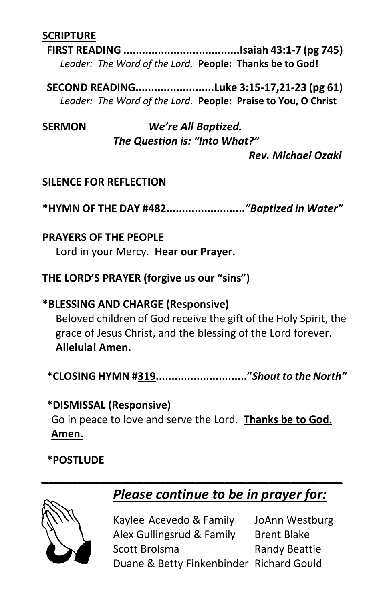### **SCRIPTURE**

**FIRST READING .....................................Isaiah 43:1-7 (pg 745)** *Leader: The Word of the Lord.* **People: Thanks be to God!**

**SECOND READING.........................Luke 3:15-17,21-23 (pg 61)** *Leader: The Word of the Lord.* **People: Praise to You, O Christ**

**SERMON** *We're All Baptized. The Question is: "Into What?"*

*Rev. Michael Ozaki*

#### **SILENCE FOR REFLECTION**

**\*HYMN OF THE DAY #482.........................***"Baptized in Water"*

#### **PRAYERS OF THE PEOPLE**

Lord in your Mercy. **Hear our Prayer.**

#### **THE LORD'S PRAYER (forgive us our "sins")**

## **\*BLESSING AND CHARGE (Responsive)**

Beloved children of God receive the gift of the Holy Spirit, the grace of Jesus Christ, and the blessing of the Lord forever. **Alleluia! Amen.**

**\*CLOSING HYMN #319............................."***Shout to the North"*

# **\*DISMISSAL (Responsive)** Go in peace to love and serve the Lord. **Thanks be to God. Amen.**

*\_\_\_\_\_\_\_\_\_\_\_\_\_\_\_\_\_\_\_\_\_\_\_\_\_\_\_\_\_\_\_\_\_\_\_\_\_\_\_\_\_*

# **\*POSTLUDE**



# *Please continue to be in prayer for:*

Kaylee Acevedo & Family JoAnn Westburg Alex Gullingsrud & Family Brent Blake Scott Brolsma<br>
Randy Beattie Duane & Betty Finkenbinder Richard Gould